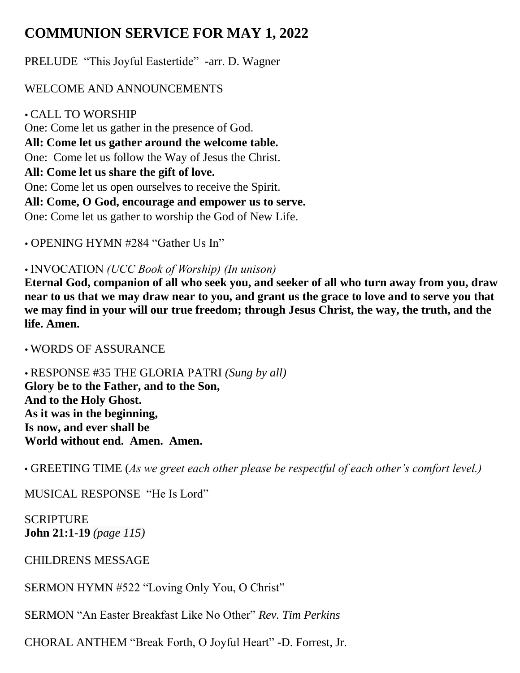# **COMMUNION SERVICE FOR MAY 1, 2022**

PRELUDE "This Joyful Eastertide" -arr. D. Wagner

## WELCOME AND ANNOUNCEMENTS

 CALL TO WORSHIP One: Come let us gather in the presence of God. **All: Come let us gather around the welcome table.** One: Come let us follow the Way of Jesus the Christ. **All: Come let us share the gift of love.**  One: Come let us open ourselves to receive the Spirit. **All: Come, O God, encourage and empower us to serve.**  One: Come let us gather to worship the God of New Life.

OPENING HYMN #284 "Gather Us In"

### INVOCATION *(UCC Book of Worship) (In unison)*

**Eternal God, companion of all who seek you, and seeker of all who turn away from you, draw near to us that we may draw near to you, and grant us the grace to love and to serve you that we may find in your will our true freedom; through Jesus Christ, the way, the truth, and the life. Amen.**

WORDS OF ASSURANCE

 RESPONSE #35 THE GLORIA PATRI *(Sung by all)*  **Glory be to the Father, and to the Son, And to the Holy Ghost. As it was in the beginning, Is now, and ever shall be World without end. Amen. Amen.**

• GREETING TIME (*As we greet each other please be respectful of each other's comfort level.)*

MUSICAL RESPONSE "He Is Lord"

SCRIPTURE **John 21:1-19** *(page 115)*

CHILDRENS MESSAGE

SERMON HYMN #522 "Loving Only You, O Christ"

SERMON "An Easter Breakfast Like No Other" *Rev. Tim Perkins*

CHORAL ANTHEM "Break Forth, O Joyful Heart" -D. Forrest, Jr.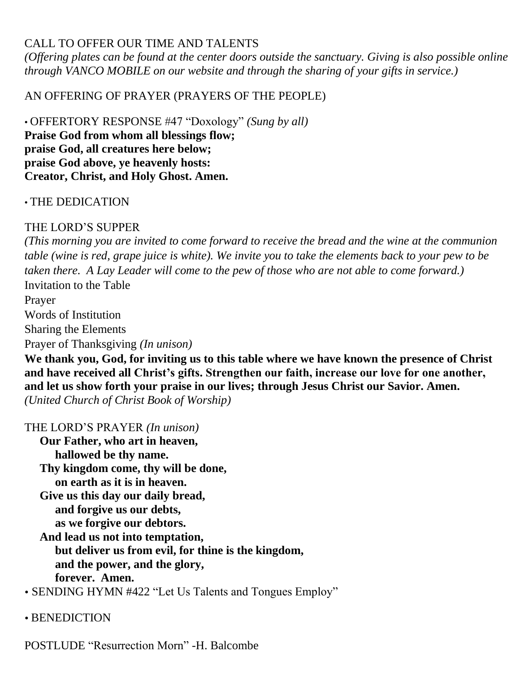#### CALL TO OFFER OUR TIME AND TALENTS

*(Offering plates can be found at the center doors outside the sanctuary. Giving is also possible online through VANCO MOBILE on our website and through the sharing of your gifts in service.)*

AN OFFERING OF PRAYER (PRAYERS OF THE PEOPLE)

• OFFERTORY RESPONSE #47 "Doxology" *(Sung by all)*  **Praise God from whom all blessings flow; praise God, all creatures here below; praise God above, ye heavenly hosts: Creator, Christ, and Holy Ghost. Amen.**

#### • THE DEDICATION

#### THE LORD'S SUPPER

*(This morning you are invited to come forward to receive the bread and the wine at the communion table (wine is red, grape juice is white). We invite you to take the elements back to your pew to be taken there. A Lay Leader will come to the pew of those who are not able to come forward.)*  Invitation to the Table

Prayer

Words of Institution

Sharing the Elements

Prayer of Thanksgiving *(In unison)*

**We thank you, God, for inviting us to this table where we have known the presence of Christ and have received all Christ's gifts. Strengthen our faith, increase our love for one another, and let us show forth your praise in our lives; through Jesus Christ our Savior. Amen.**  *(United Church of Christ Book of Worship)*

THE LORD'S PRAYER *(In unison)*

**Our Father, who art in heaven, hallowed be thy name. Thy kingdom come, thy will be done, on earth as it is in heaven. Give us this day our daily bread, and forgive us our debts, as we forgive our debtors. And lead us not into temptation, but deliver us from evil, for thine is the kingdom, and the power, and the glory, forever. Amen.** 

• SENDING HYMN #422 "Let Us Talents and Tongues Employ"

#### • BENEDICTION

POSTLUDE "Resurrection Morn" -H. Balcombe